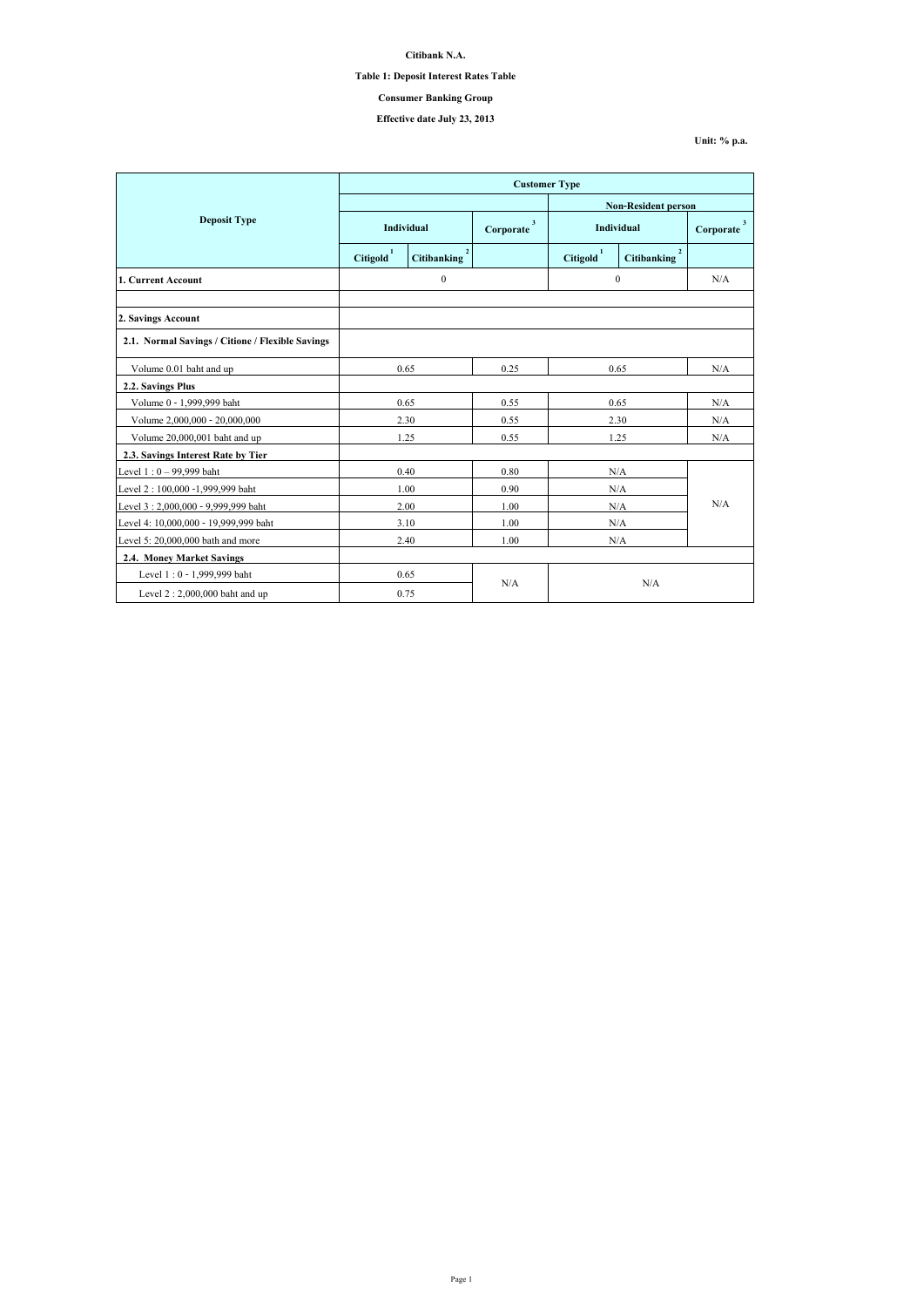|                                                  | <b>Customer Type</b>       |                                      |                           |                       |                    |                |  |
|--------------------------------------------------|----------------------------|--------------------------------------|---------------------------|-----------------------|--------------------|----------------|--|
|                                                  | <b>Non-Resident person</b> |                                      |                           |                       |                    |                |  |
| <b>Deposit Type</b>                              | Individual                 |                                      | $\mathbf{3}$<br>Corporate | <b>Individual</b>     |                    | 3<br>Corporate |  |
|                                                  | Citigold <sup>1</sup>      | $\overline{2}$<br><b>Citibanking</b> |                           | Citigold <sup>1</sup> | <b>Citibanking</b> |                |  |
| 1. Current Account                               |                            | $\boldsymbol{0}$                     |                           | $\mathbf{0}$          |                    | N/A            |  |
|                                                  |                            |                                      |                           |                       |                    |                |  |
| 2. Savings Account                               |                            |                                      |                           |                       |                    |                |  |
| 2.1. Normal Savings / Citione / Flexible Savings |                            |                                      |                           |                       |                    |                |  |
| Volume 0.01 baht and up                          | 0.65                       |                                      | 0.25                      | 0.65                  |                    | N/A            |  |
| 2.2. Savings Plus                                |                            |                                      |                           |                       |                    |                |  |
| Volume 0 - 1,999,999 baht                        | 0.65                       |                                      | 0.55                      | 0.65                  |                    | N/A            |  |
| Volume 2,000,000 - 20,000,000                    | 2.30                       |                                      | 0.55                      | 2.30                  |                    | N/A            |  |
| Volume 20,000,001 baht and up                    | 1.25                       |                                      | 0.55                      | 1.25                  |                    | N/A            |  |
| 2.3. Savings Interest Rate by Tier               |                            |                                      |                           |                       |                    |                |  |
| Level $1:0 - 99,999$ baht                        | 0.40                       |                                      | 0.80                      | N/A                   |                    | N/A            |  |
| Level 2 : 100,000 -1,999,999 baht                | 1.00                       |                                      | 0.90                      | N/A                   |                    |                |  |
| Level 3:2,000,000 - 9,999,999 baht               | 2.00                       |                                      | 1.00                      | N/A                   |                    |                |  |
| Level 4: 10,000,000 - 19,999,999 baht            |                            | 3.10                                 | 1.00                      | N/A                   |                    |                |  |
| Level 5: $20,000,000$ bath and more              | 2.40                       |                                      | 1.00                      | N/A                   |                    |                |  |
| <b>2.4. Money Market Savings</b>                 |                            |                                      |                           |                       |                    |                |  |
| Level 1:0 - 1,999,999 baht                       | 0.65                       |                                      |                           |                       |                    |                |  |
| Level $2:2,000,000$ baht and up                  | 0.75                       |                                      | N/A                       |                       | N/A                |                |  |

**Citibank N.A.**

**Table 1: Deposit Interest Rates Table**

**Effective date July 23, 2013**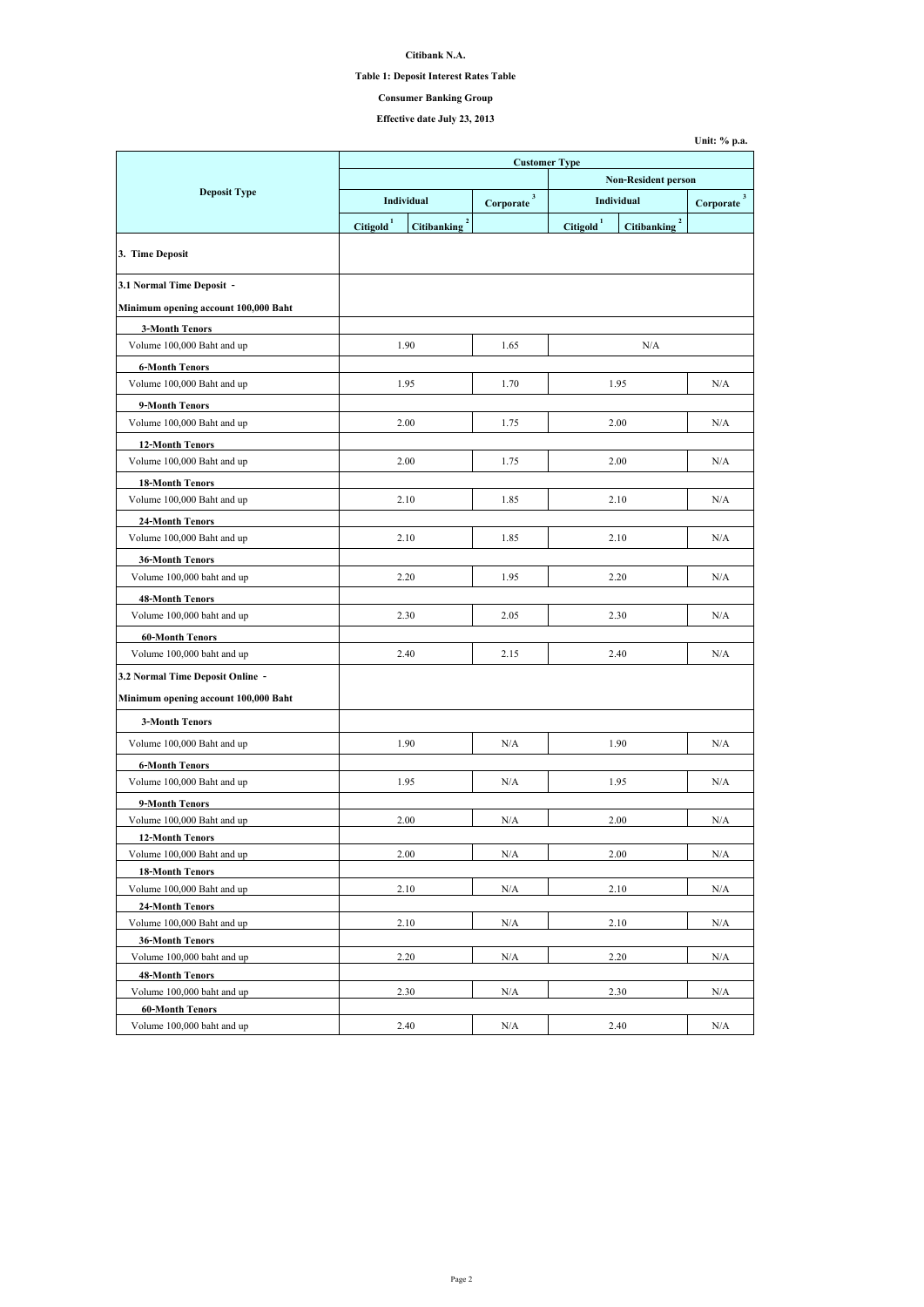| Unit: % p.a. |  |  |
|--------------|--|--|
|--------------|--|--|

**Citibank N.A.**

### **Table 1: Deposit Interest Rates Table**

# **Effective date July 23, 2013**

|                                                      | <b>Customer Type</b>       |                                      |                           |                 |                                    |                           |  |  |
|------------------------------------------------------|----------------------------|--------------------------------------|---------------------------|-----------------|------------------------------------|---------------------------|--|--|
|                                                      | <b>Non-Resident person</b> |                                      |                           |                 |                                    |                           |  |  |
| <b>Deposit Type</b>                                  |                            | <b>Individual</b>                    | $\mathbf{3}$<br>Corporate |                 | <b>Individual</b>                  | $\mathbf{3}$<br>Corporate |  |  |
|                                                      | <b>Citigold</b>            | $\overline{2}$<br><b>Citibanking</b> |                           | <b>Citigold</b> | $\mathbf{2}$<br><b>Citibanking</b> |                           |  |  |
|                                                      |                            |                                      |                           |                 |                                    |                           |  |  |
| 3. Time Deposit                                      |                            |                                      |                           |                 |                                    |                           |  |  |
| 3.1 Normal Time Deposit -                            |                            |                                      |                           |                 |                                    |                           |  |  |
| Minimum opening account 100,000 Baht                 |                            |                                      |                           |                 |                                    |                           |  |  |
| <b>3-Month Tenors</b>                                |                            |                                      |                           |                 |                                    |                           |  |  |
| Volume 100,000 Baht and up                           |                            | 1.90                                 | 1.65                      |                 | N/A                                |                           |  |  |
| <b>6-Month Tenors</b>                                |                            |                                      |                           |                 |                                    |                           |  |  |
| Volume 100,000 Baht and up                           |                            | 1.95                                 | 1.70                      |                 | 1.95                               | N/A                       |  |  |
| 9-Month Tenors                                       |                            |                                      |                           |                 |                                    |                           |  |  |
| Volume 100,000 Baht and up                           |                            | 2.00                                 | 1.75                      |                 | 2.00                               | N/A                       |  |  |
| <b>12-Month Tenors</b>                               |                            |                                      |                           |                 |                                    |                           |  |  |
| Volume 100,000 Baht and up                           |                            | 2.00                                 | 1.75                      |                 | 2.00                               | N/A                       |  |  |
| <b>18-Month Tenors</b>                               |                            |                                      |                           |                 |                                    |                           |  |  |
| Volume 100,000 Baht and up                           |                            | 2.10                                 | 1.85                      |                 | 2.10                               | N/A                       |  |  |
| <b>24-Month Tenors</b>                               |                            |                                      |                           |                 |                                    |                           |  |  |
| Volume 100,000 Baht and up                           |                            | 2.10                                 | 1.85                      |                 | 2.10                               | N/A                       |  |  |
| <b>36-Month Tenors</b>                               |                            |                                      |                           |                 |                                    |                           |  |  |
| Volume 100,000 baht and up                           |                            | 2.20                                 | 1.95                      |                 | 2.20                               | N/A                       |  |  |
|                                                      |                            |                                      |                           |                 |                                    |                           |  |  |
| <b>48-Month Tenors</b><br>Volume 100,000 baht and up |                            | 2.30                                 | 2.05                      |                 | 2.30                               | N/A                       |  |  |
|                                                      |                            |                                      |                           |                 |                                    |                           |  |  |
| <b>60-Month Tenors</b>                               |                            |                                      |                           |                 |                                    |                           |  |  |
| Volume 100,000 baht and up                           |                            | 2.40                                 | 2.15                      |                 | 2.40                               | N/A                       |  |  |
| 3.2 Normal Time Deposit Online -                     |                            |                                      |                           |                 |                                    |                           |  |  |
| Minimum opening account 100,000 Baht                 |                            |                                      |                           |                 |                                    |                           |  |  |
| <b>3-Month Tenors</b>                                |                            |                                      |                           |                 |                                    |                           |  |  |
| Volume 100,000 Baht and up                           |                            | 1.90                                 | N/A                       |                 | 1.90                               | N/A                       |  |  |
| <b>6-Month Tenors</b>                                |                            |                                      |                           |                 |                                    |                           |  |  |
| Volume 100,000 Baht and up                           |                            | 1.95                                 | N/A                       |                 | 1.95                               | N/A                       |  |  |
| 9-Month Tenors                                       |                            |                                      |                           |                 |                                    |                           |  |  |
| Volume 100,000 Baht and up                           |                            | 2.00                                 | N/A                       |                 | 2.00                               | N/A                       |  |  |
| <b>12-Month Tenors</b>                               |                            |                                      |                           |                 |                                    |                           |  |  |
| Volume 100,000 Baht and up                           |                            | 2.00                                 | N/A                       |                 | 2.00                               | N/A                       |  |  |
| <b>18-Month Tenors</b>                               |                            |                                      |                           |                 |                                    |                           |  |  |
| Volume 100,000 Baht and up                           |                            | 2.10                                 | N/A                       | 2.10            |                                    | N/A                       |  |  |
| <b>24-Month Tenors</b>                               |                            |                                      |                           |                 |                                    |                           |  |  |
| Volume 100,000 Baht and up                           |                            | 2.10                                 | N/A                       |                 | 2.10                               | N/A                       |  |  |
| <b>36-Month Tenors</b>                               |                            |                                      |                           |                 |                                    |                           |  |  |
| Volume 100,000 baht and up                           |                            | 2.20                                 | N/A                       |                 | 2.20                               | N/A                       |  |  |
| <b>48-Month Tenors</b>                               |                            |                                      |                           |                 |                                    |                           |  |  |
| Volume 100,000 baht and up                           |                            | 2.30                                 | N/A                       |                 | 2.30                               | N/A                       |  |  |
| <b>60-Month Tenors</b>                               |                            |                                      |                           |                 |                                    |                           |  |  |
| Volume 100,000 baht and up                           |                            | 2.40                                 | N/A                       |                 | 2.40                               | N/A                       |  |  |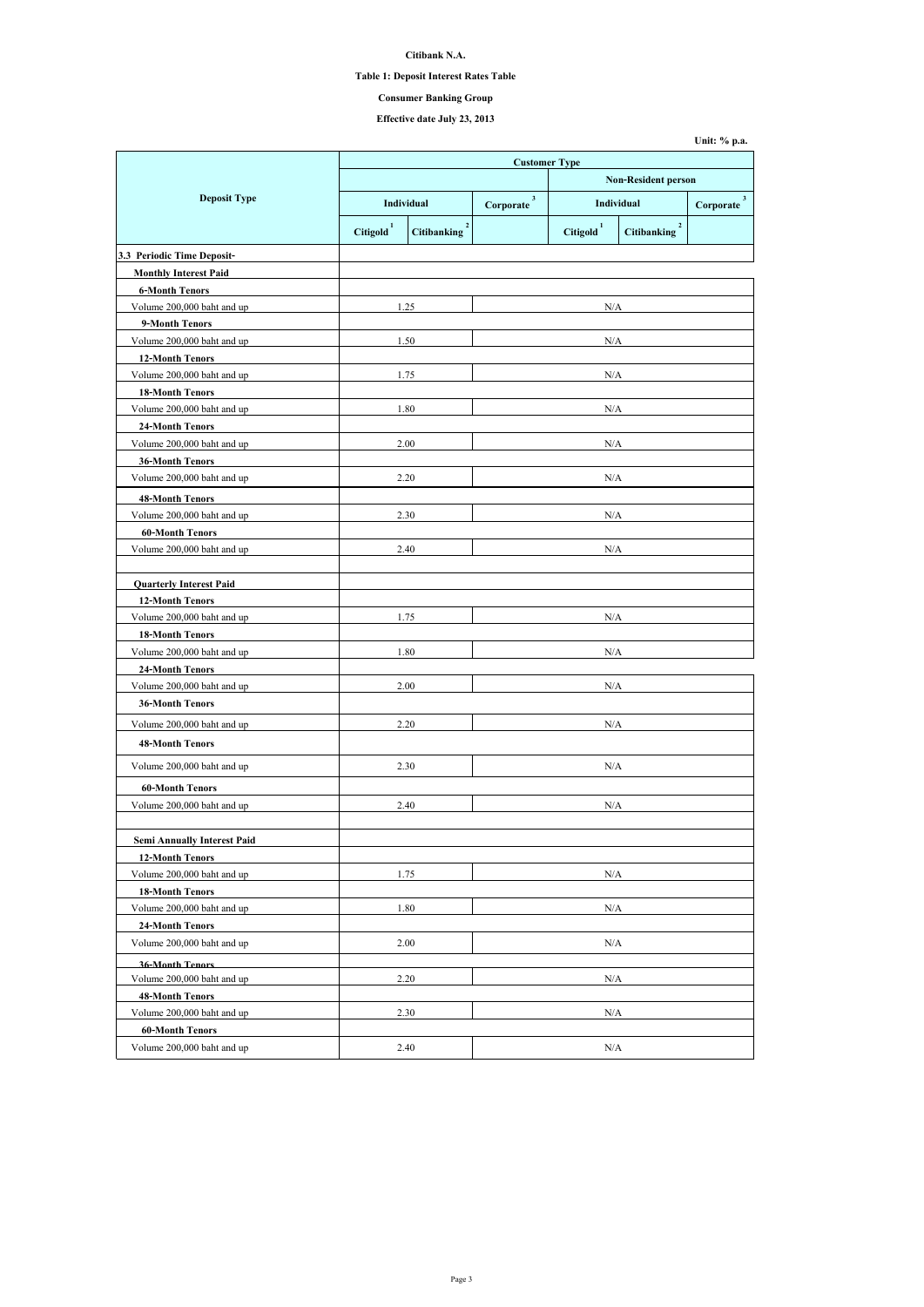**Citibank N.A.**

#### **Table 1: Deposit Interest Rates Table**

# **Effective date July 23, 2013**

|                                    | <b>Customer Type</b> |                                      |                             |                          |                                      |                             |
|------------------------------------|----------------------|--------------------------------------|-----------------------------|--------------------------|--------------------------------------|-----------------------------|
|                                    |                      |                                      | <b>Non-Resident person</b>  |                          |                                      |                             |
| <b>Deposit Type</b>                |                      | <b>Individual</b>                    | 3 <sup>1</sup><br>Corporate | <b>Individual</b>        |                                      | 3 <sup>1</sup><br>Corporate |
|                                    | <b>Citigold</b>      | $\overline{2}$<br><b>Citibanking</b> |                             | $\mathbf{1}$<br>Citigold | $\overline{2}$<br><b>Citibanking</b> |                             |
| 3.3 Periodic Time Deposit-         |                      |                                      |                             |                          |                                      |                             |
| <b>Monthly Interest Paid</b>       |                      |                                      |                             |                          |                                      |                             |
| <b>6-Month Tenors</b>              |                      |                                      |                             |                          |                                      |                             |
| Volume 200,000 baht and up         |                      | 1.25                                 |                             | N/A                      |                                      |                             |
| 9-Month Tenors                     |                      |                                      |                             |                          |                                      |                             |
| Volume 200,000 baht and up         |                      | 1.50                                 |                             | N/A                      |                                      |                             |
| <b>12-Month Tenors</b>             |                      |                                      |                             |                          |                                      |                             |
| Volume 200,000 baht and up         |                      | 1.75                                 |                             | N/A                      |                                      |                             |
| <b>18-Month Tenors</b>             |                      |                                      |                             |                          |                                      |                             |
| Volume 200,000 baht and up         |                      | 1.80                                 |                             | N/A                      |                                      |                             |
| <b>24-Month Tenors</b>             |                      |                                      |                             |                          |                                      |                             |
| Volume 200,000 baht and up         |                      | 2.00                                 |                             | N/A                      |                                      |                             |
| <b>36-Month Tenors</b>             |                      |                                      |                             |                          |                                      |                             |
| Volume 200,000 baht and up         |                      | 2.20                                 |                             | N/A                      |                                      |                             |
| <b>48-Month Tenors</b>             |                      |                                      |                             |                          |                                      |                             |
| Volume 200,000 baht and up         |                      | 2.30                                 |                             | N/A                      |                                      |                             |
| <b>60-Month Tenors</b>             |                      |                                      |                             |                          |                                      |                             |
| Volume 200,000 baht and up         |                      | 2.40                                 | $\rm N/A$                   |                          |                                      |                             |
| <b>Quarterly Interest Paid</b>     |                      |                                      |                             |                          |                                      |                             |
| <b>12-Month Tenors</b>             |                      |                                      |                             |                          |                                      |                             |
| Volume 200,000 baht and up         |                      | 1.75                                 |                             | N/A                      |                                      |                             |
| <b>18-Month Tenors</b>             |                      |                                      |                             |                          |                                      |                             |
| Volume 200,000 baht and up         |                      | 1.80                                 | N/A                         |                          |                                      |                             |
| <b>24-Month Tenors</b>             |                      |                                      |                             |                          |                                      |                             |
| Volume 200,000 baht and up         |                      | 2.00                                 | N/A                         |                          |                                      |                             |
| <b>36-Month Tenors</b>             |                      |                                      |                             |                          |                                      |                             |
| Volume 200,000 baht and up         |                      | 2.20<br>N/A                          |                             |                          |                                      |                             |
| <b>48-Month Tenors</b>             |                      |                                      |                             |                          |                                      |                             |
|                                    |                      |                                      |                             |                          |                                      |                             |
| Volume 200,000 baht and up         |                      | 2.30                                 |                             | $\rm N/A$                |                                      |                             |
| <b>60-Month Tenors</b>             |                      |                                      |                             |                          |                                      |                             |
| Volume 200,000 baht and up         |                      | 2.40                                 |                             | N/A                      |                                      |                             |
| <b>Semi Annually Interest Paid</b> |                      |                                      |                             |                          |                                      |                             |
| <b>12-Month Tenors</b>             |                      |                                      |                             |                          |                                      |                             |
| Volume 200,000 baht and up         |                      | 1.75                                 |                             | N/A                      |                                      |                             |
| <b>18-Month Tenors</b>             |                      |                                      |                             |                          |                                      |                             |
| Volume 200,000 baht and up         |                      | 1.80                                 | N/A                         |                          |                                      |                             |
| <b>24-Month Tenors</b>             |                      |                                      |                             |                          |                                      |                             |
| Volume 200,000 baht and up         |                      | 2.00                                 | N/A                         |                          |                                      |                             |
| <b>36-Month Tenors</b>             |                      |                                      |                             |                          |                                      |                             |
| Volume 200,000 baht and up         |                      | 2.20                                 |                             | N/A                      |                                      |                             |
| <b>48-Month Tenors</b>             |                      |                                      |                             |                          |                                      |                             |
| Volume 200,000 baht and up         |                      | 2.30                                 |                             | $\rm N/A$                |                                      |                             |
| <b>60-Month Tenors</b>             |                      |                                      |                             |                          |                                      |                             |
| Volume 200,000 baht and up         |                      | 2.40                                 |                             | N/A                      |                                      |                             |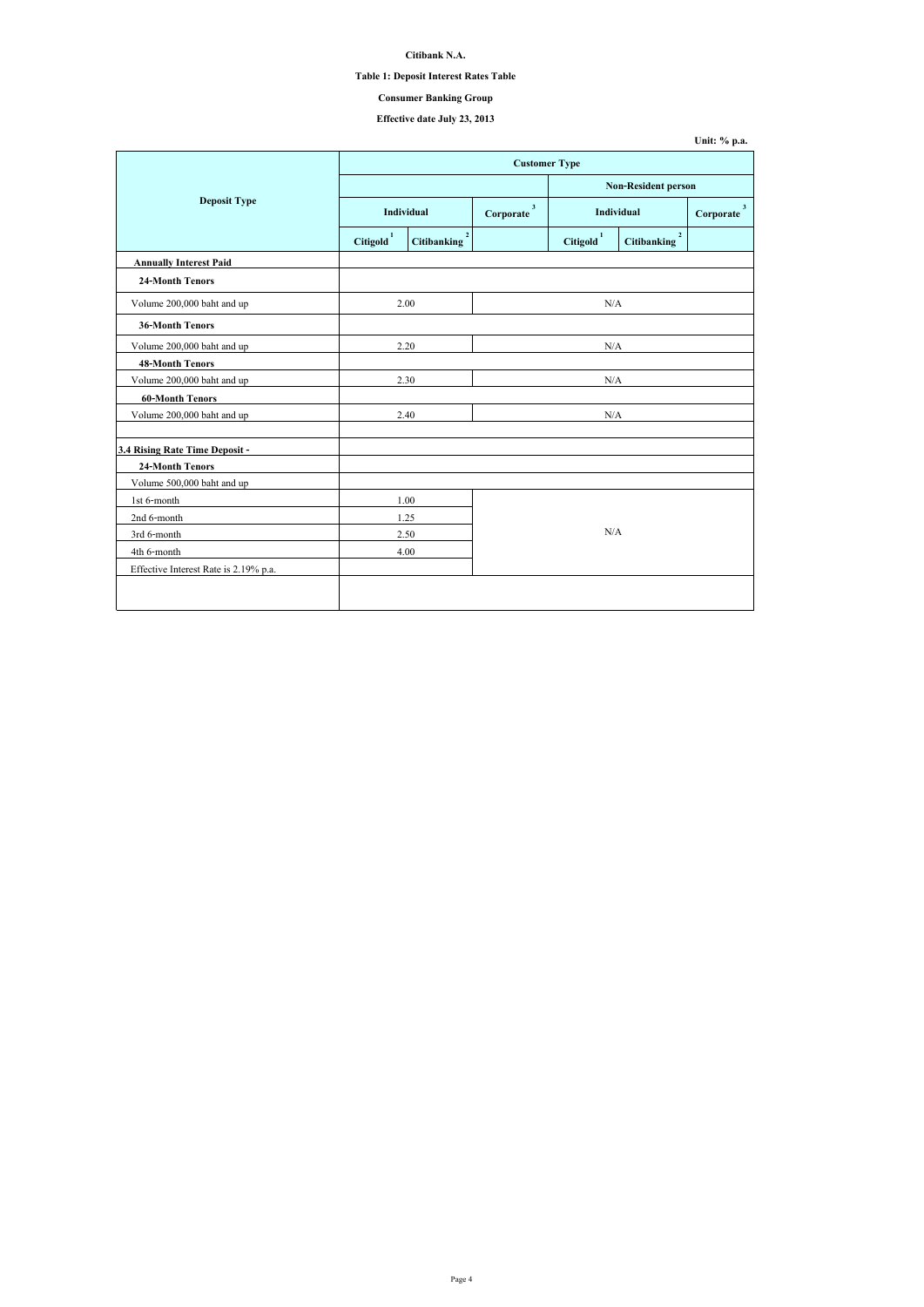### **Citibank N.A.**

#### **Table 1: Deposit Interest Rates Table**

# **Effective date July 23, 2013**

|                                       |                       | <b>Customer Type</b>       |     |                       |                                      |                |  |
|---------------------------------------|-----------------------|----------------------------|-----|-----------------------|--------------------------------------|----------------|--|
|                                       |                       | <b>Non-Resident person</b> |     |                       |                                      |                |  |
| <b>Deposit Type</b>                   |                       | Individual                 |     | <b>Individual</b>     |                                      | 3<br>Corporate |  |
|                                       | Citigold <sup>1</sup> | <b>Citibanking</b>         |     | Citigold <sup>1</sup> | $\overline{2}$<br><b>Citibanking</b> |                |  |
| <b>Annually Interest Paid</b>         |                       |                            |     |                       |                                      |                |  |
| <b>24-Month Tenors</b>                |                       |                            |     |                       |                                      |                |  |
| Volume 200,000 baht and up            |                       | 2.00                       |     | N/A                   |                                      |                |  |
| <b>36-Month Tenors</b>                |                       |                            |     |                       |                                      |                |  |
| Volume 200,000 baht and up            |                       | 2.20                       |     | N/A                   |                                      |                |  |
| <b>48-Month Tenors</b>                |                       |                            |     |                       |                                      |                |  |
| Volume 200,000 baht and up            |                       | 2.30                       | N/A |                       |                                      |                |  |
| <b>60-Month Tenors</b>                |                       |                            |     |                       |                                      |                |  |
| Volume 200,000 baht and up            |                       | 2.40                       | N/A |                       |                                      |                |  |
| 3.4 Rising Rate Time Deposit -        |                       |                            |     |                       |                                      |                |  |
| <b>24-Month Tenors</b>                |                       |                            |     |                       |                                      |                |  |
| Volume 500,000 baht and up            |                       |                            |     |                       |                                      |                |  |
| 1st 6-month                           |                       | 1.00                       |     |                       |                                      |                |  |
| 2nd 6-month                           |                       | 1.25                       |     |                       |                                      |                |  |
| 3rd 6-month                           |                       | 2.50                       | N/A |                       |                                      |                |  |
| 4th 6-month                           |                       | 4.00                       |     |                       |                                      |                |  |
| Effective Interest Rate is 2.19% p.a. |                       |                            |     |                       |                                      |                |  |
|                                       |                       |                            |     |                       |                                      |                |  |
|                                       |                       |                            |     |                       |                                      |                |  |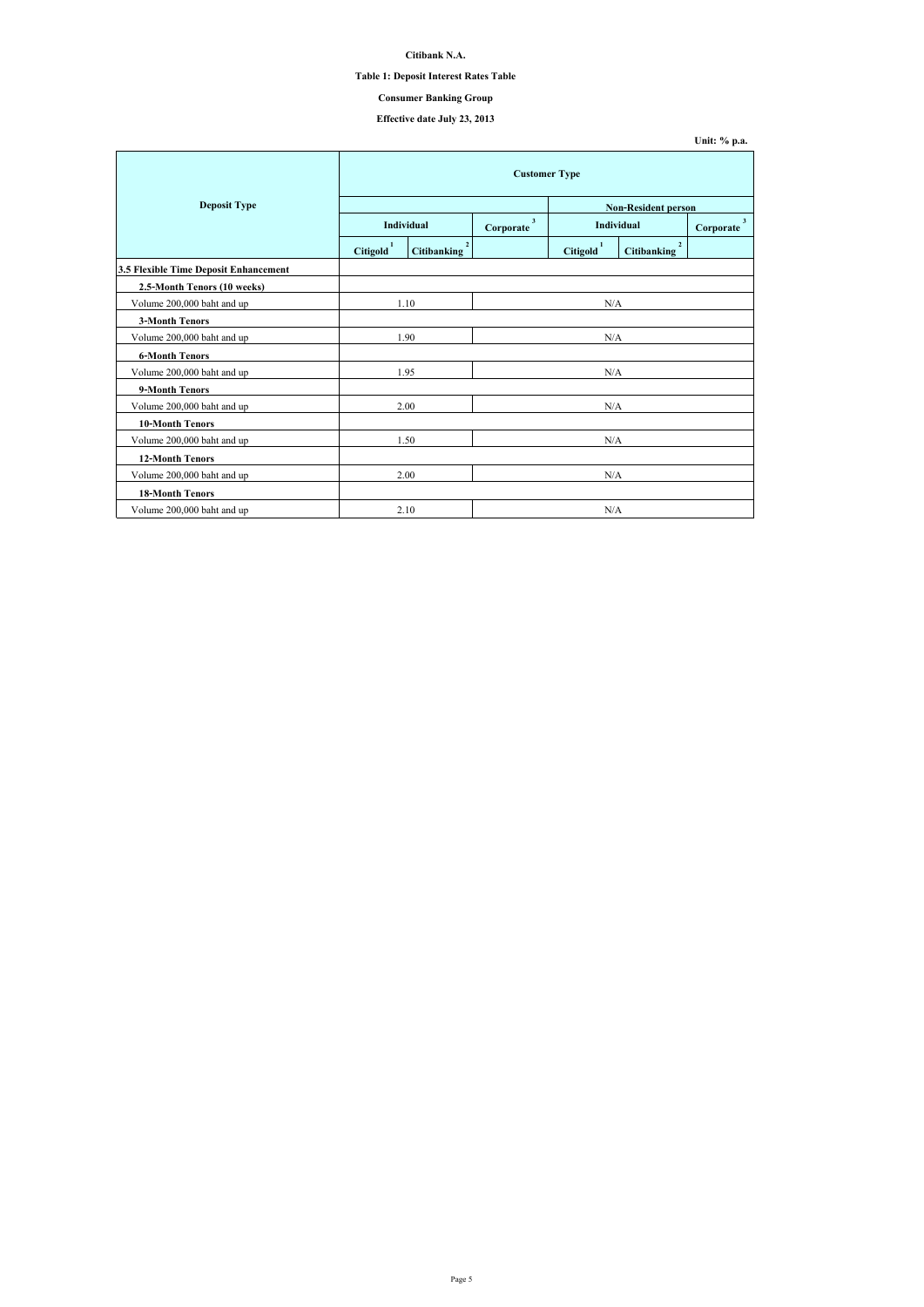**Citibank N.A.**

### **Table 1: Deposit Interest Rates Table**

# **Effective date July 23, 2013**

|                                       |                       | <b>Customer Type</b>                 |                           |                       |                                      |                             |  |
|---------------------------------------|-----------------------|--------------------------------------|---------------------------|-----------------------|--------------------------------------|-----------------------------|--|
| <b>Deposit Type</b>                   |                       |                                      |                           |                       | <b>Non-Resident person</b>           |                             |  |
|                                       |                       | <b>Individual</b>                    | $\mathbf{3}$<br>Corporate |                       | Individual                           | 3 <sup>7</sup><br>Corporate |  |
|                                       | Citigold <sup>1</sup> | $\overline{2}$<br><b>Citibanking</b> |                           | Citigold <sup>1</sup> | $\overline{2}$<br><b>Citibanking</b> |                             |  |
| 3.5 Flexible Time Deposit Enhancement |                       |                                      |                           |                       |                                      |                             |  |
| 2.5-Month Tenors (10 weeks)           |                       |                                      |                           |                       |                                      |                             |  |
| Volume 200,000 baht and up            |                       | 1.10                                 |                           | N/A                   |                                      |                             |  |
| <b>3-Month Tenors</b>                 |                       |                                      |                           |                       |                                      |                             |  |
| Volume 200,000 baht and up            |                       | 1.90                                 |                           | $\rm N/A$             |                                      |                             |  |
| <b>6-Month Tenors</b>                 |                       |                                      |                           |                       |                                      |                             |  |
| Volume 200,000 baht and up            |                       | 1.95                                 |                           | N/A                   |                                      |                             |  |
| 9-Month Tenors                        |                       |                                      |                           |                       |                                      |                             |  |
| Volume 200,000 baht and up            |                       | 2.00                                 |                           | N/A                   |                                      |                             |  |
| <b>10-Month Tenors</b>                |                       |                                      |                           |                       |                                      |                             |  |
| Volume 200,000 baht and up            |                       | 1.50                                 |                           | N/A                   |                                      |                             |  |
| <b>12-Month Tenors</b>                |                       |                                      |                           |                       |                                      |                             |  |
| Volume 200,000 baht and up            |                       | 2.00                                 |                           | N/A                   |                                      |                             |  |
| <b>18-Month Tenors</b>                |                       |                                      |                           |                       |                                      |                             |  |
| Volume 200,000 baht and up            |                       | 2.10                                 |                           | N/A                   |                                      |                             |  |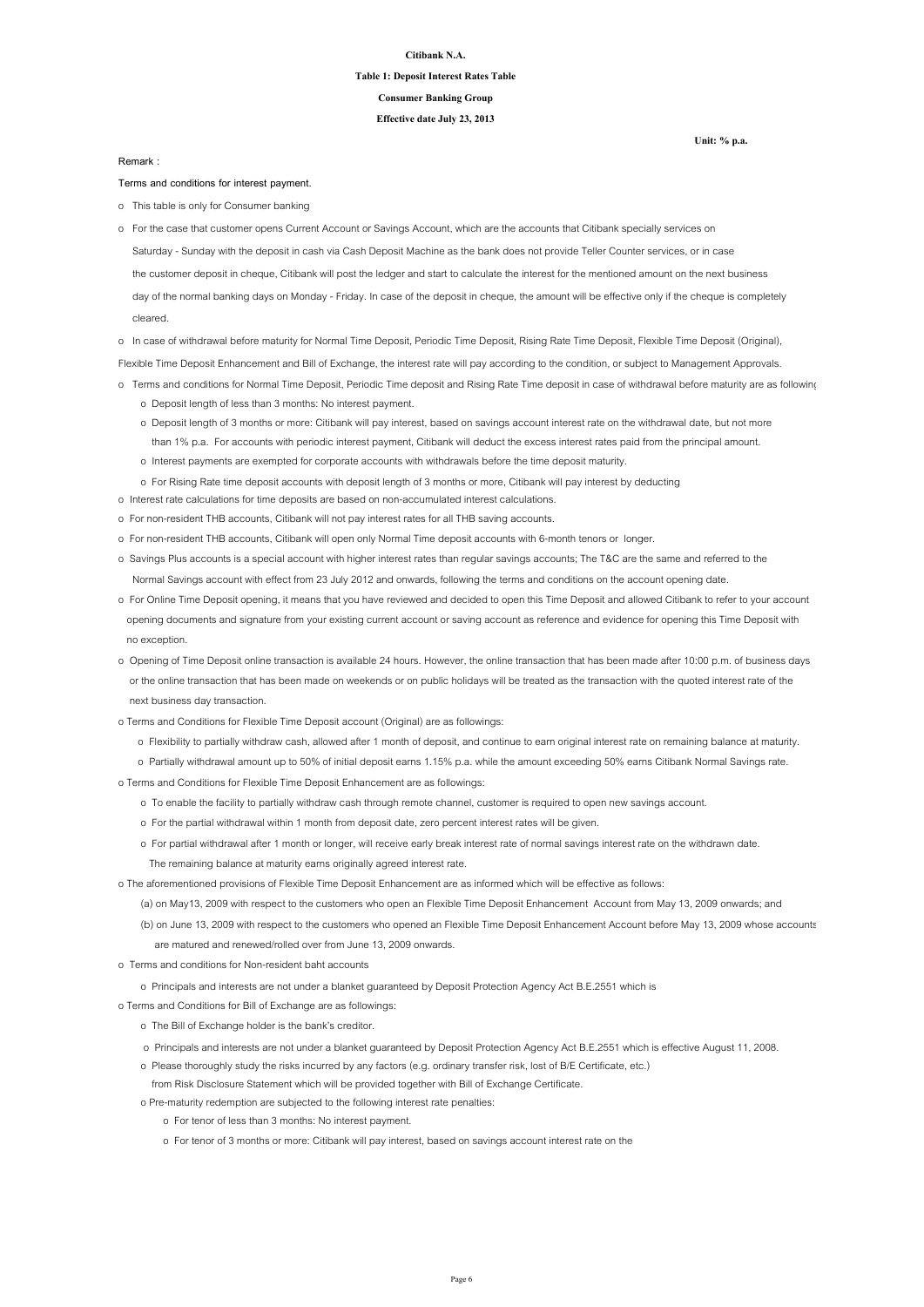#### **Citibank N.A.**

# **Table 1: Deposit Interest Rates Table**

**Effective date July 23, 2013**

**Consumer Banking Group**

**Terms and conditions for interest payment.**

o This table is only for Consumer banking

o In case of withdrawal before maturity for Normal Time Deposit, Periodic Time Deposit, Rising Rate Time Deposit, Flexible Time Deposit (Original),

Flexible Time Deposit Enhancement and Bill of Exchange, the interest rate will pay according to the condition, or subject to Management Approvals.

- o Terms and conditions for Normal Time Deposit, Periodic Time deposit and Rising Rate Time deposit in case of withdrawal before maturity are as followings:
	- o Deposit length of less than 3 months: No interest payment.
	- o Deposit length of 3 months or more: Citibank will pay interest, based on savings account interest rate on the withdrawal date, but not more than 1% p.a. For accounts with periodic interest payment, Citibank will deduct the excess interest rates paid from the principal amount.
	- o Interest payments are exempted for corporate accounts with withdrawals before the time deposit maturity.
	- o For Rising Rate time deposit accounts with deposit length of 3 months or more, Citibank will pay interest by deducting
- o Interest rate calculations for time deposits are based on non-accumulated interest calculations.
- o For non-resident THB accounts, Citibank will not pay interest rates for all THB saving accounts.
- o For non-resident THB accounts, Citibank will open only Normal Time deposit accounts with 6-month tenors or longer.
- o Savings Plus accounts is a special account with higher interest rates than regular savings accounts; The T&C are the same and referred to the Normal Savings account with effect from 23 July 2012 and onwards, following the terms and conditions on the account opening date.
- o For Online Time Deposit opening, it means that you have reviewed and decided to open this Time Deposit and allowed Citibank to refer to your account opening documents and signature from your existing current account or saving account as reference and evidence for opening this Time Deposit with no exception.
- o Opening of Time Deposit online transaction is available 24 hours. However, the online transaction that has been made after 10:00 p.m. of business days or the online transaction that has been made on weekends or on public holidays will be treated as the transaction with the quoted interest rate of the

 Saturday - Sunday with the deposit in cash via Cash Deposit Machine as the bank does not provide Teller Counter services, or in case the customer deposit in cheque, Citibank will post the ledger and start to calculate the interest for the mentioned amount on the next business day of the normal banking days on Monday - Friday. In case of the deposit in cheque, the amount will be effective only if the cheque is completely cleared. o For the case that customer opens Current Account or Savings Account, which are the accounts that Citibank specially services on

next business day transaction.

- o Terms and Conditions for Flexible Time Deposit account (Original) are as followings:
	- o Flexibility to partially withdraw cash, allowed after 1 month of deposit, and continue to earn original interest rate on remaining balance at maturity.
	- o Partially withdrawal amount up to 50% of initial deposit earns 1.15% p.a. while the amount exceeding 50% earns Citibank Normal Savings rate.
- o Terms and Conditions for Flexible Time Deposit Enhancement are as followings:
	- o To enable the facility to partially withdraw cash through remote channel, customer is required to open new savings account.
	- o For the partial withdrawal within 1 month from deposit date, zero percent interest rates will be given.
	- o For partial withdrawal after 1 month or longer, will receive early break interest rate of normal savings interest rate on the withdrawn date.
		- The remaining balance at maturity earns originally agreed interest rate.
- o The aforementioned provisions of Flexible Time Deposit Enhancement are as informed which will be effective as follows:
	- (a) on May13, 2009 with respect to the customers who open an Flexible Time Deposit Enhancement Account from May 13, 2009 onwards; and
	- (b) on June 13, 2009 with respect to the customers who opened an Flexible Time Deposit Enhancement Account before May 13, 2009 whose accounts are matured and renewed/rolled over from June 13, 2009 onwards.
- o Terms and conditions for Non-resident baht accounts
	- o Principals and interests are not under a blanket guaranteed by Deposit Protection Agency Act B.E.2551 which is
- o Terms and Conditions for Bill of Exchange are as followings:
	- o The Bill of Exchange holder is the bank's creditor.
	- o Principals and interests are not under a blanket guaranteed by Deposit Protection Agency Act B.E.2551 which is effective August 11, 2008.
	- o Please thoroughly study the risks incurred by any factors (e.g. ordinary transfer risk, lost of B/E Certificate, etc.)
	- from Risk Disclosure Statement which will be provided together with Bill of Exchange Certificate.
	- o Pre-maturity redemption are subjected to the following interest rate penalties:
		- o For tenor of less than 3 months: No interest payment.
		- o For tenor of 3 months or more: Citibank will pay interest, based on savings account interest rate on the

**Remark :**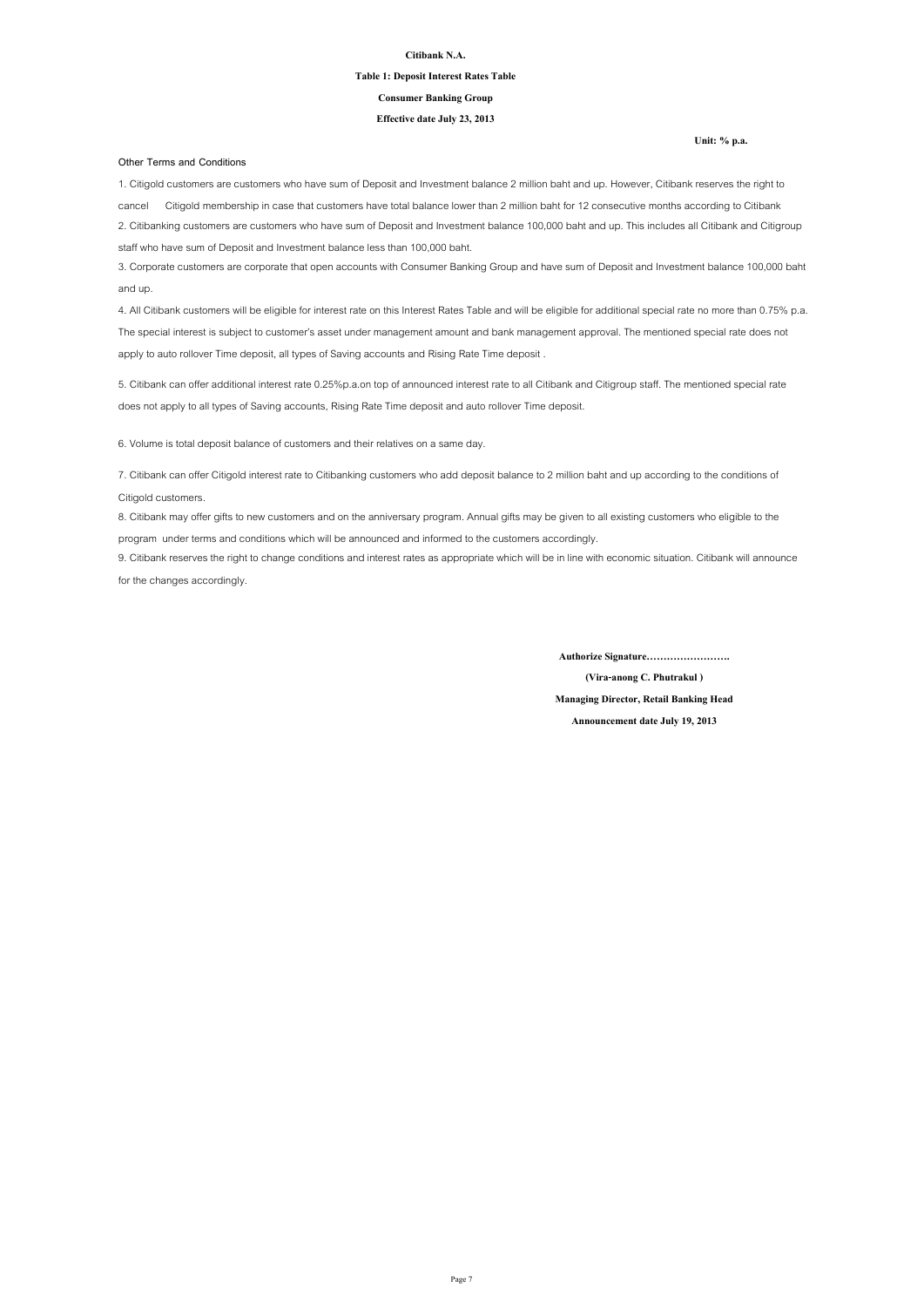#### **Citibank N.A.**

# **Table 1: Deposit Interest Rates Table**

**Effective date July 23, 2013**

#### **Consumer Banking Group**

#### **Other Terms and Conditions**

**(Vira-anong C. Phutrakul )**

**Managing Director, Retail Banking Head**

**Announcement date July 19, 2013**

**Authorize Signature…………………….**

6. Volume is total deposit balance of customers and their relatives on a same day.

8. Citibank may offer gifts to new customers and on the anniversary program. Annual gifts may be given to all existing customers who eligible to the program under terms and conditions which will be announced and informed to the customers accordingly.

9. Citibank reserves the right to change conditions and interest rates as appropriate which will be in line with economic situation. Citibank will announce for the changes accordingly.

1. Citigold customers are customers who have sum of Deposit and Investment balance 2 million baht and up. However, Citibank reserves the right to cancel Citigold membership in case that customers have total balance lower than 2 million baht for 12 consecutive months according to Citibank 2. Citibanking customers are customers who have sum of Deposit and Investment balance 100,000 baht and up. This includes all Citibank and Citigroup staff who have sum of Deposit and Investment balance less than 100,000 baht.

3. Corporate customers are corporate that open accounts with Consumer Banking Group and have sum of Deposit and Investment balance 100,000 baht and up.

4. All Citibank customers will be eligible for interest rate on this Interest Rates Table and will be eligible for additional special rate no more than 0.75% p.a. The special interest is subject to customer's asset under management amount and bank management approval. The mentioned special rate does not apply to auto rollover Time deposit, all types of Saving accounts and Rising Rate Time deposit .

5. Citibank can offer additional interest rate 0.25%p.a.on top of announced interest rate to all Citibank and Citigroup staff. The mentioned special rate does not apply to all types of Saving accounts, Rising Rate Time deposit and auto rollover Time deposit.

7. Citibank can offer Citigold interest rate to Citibanking customers who add deposit balance to 2 million baht and up according to the conditions of Citigold customers.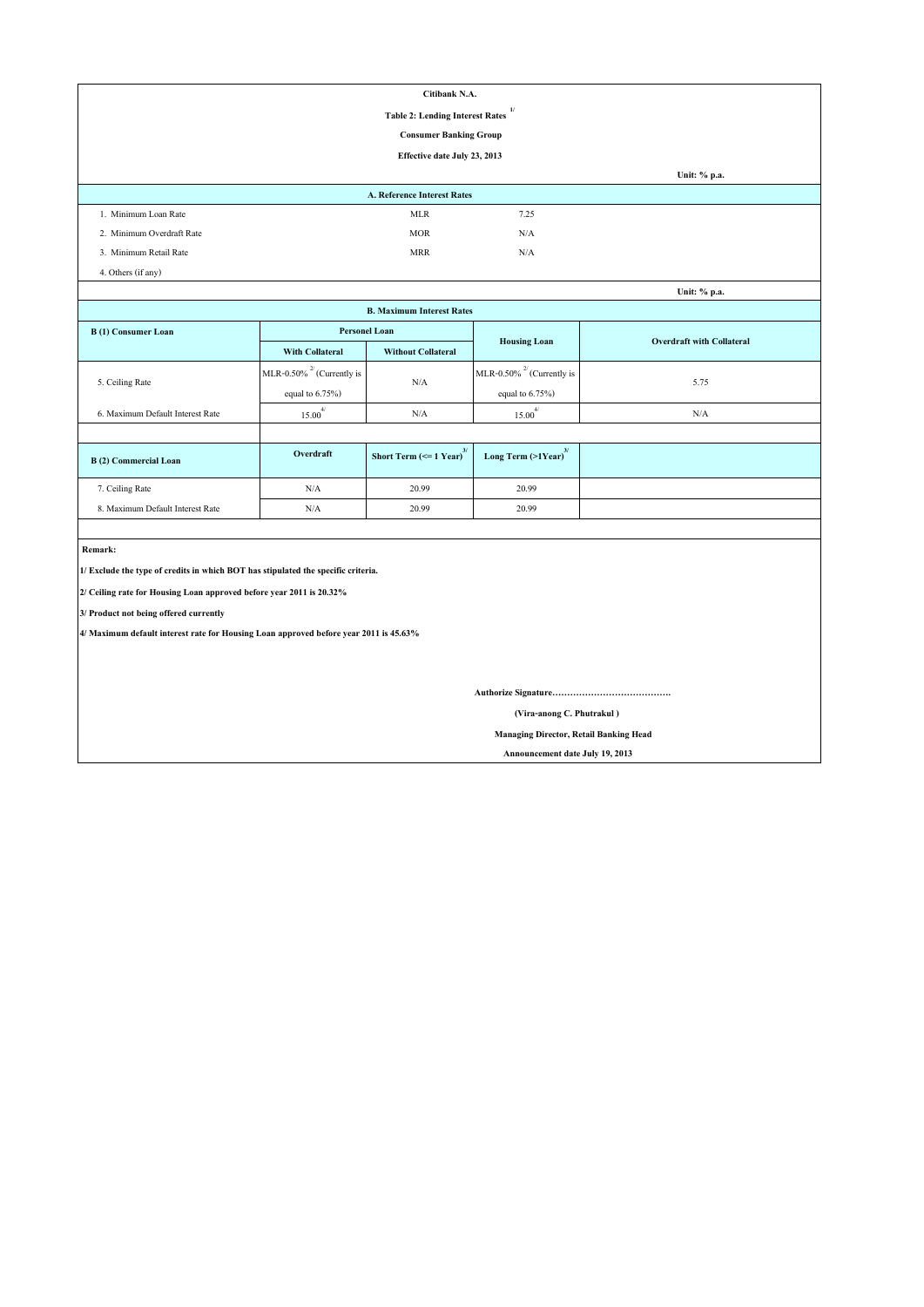|                                                                                       |                                 | Citibank N.A.                                             |                                               |                                  |  |  |  |  |
|---------------------------------------------------------------------------------------|---------------------------------|-----------------------------------------------------------|-----------------------------------------------|----------------------------------|--|--|--|--|
| 1/<br><b>Table 2: Lending Interest Rates</b>                                          |                                 |                                                           |                                               |                                  |  |  |  |  |
| <b>Consumer Banking Group</b>                                                         |                                 |                                                           |                                               |                                  |  |  |  |  |
|                                                                                       |                                 | Effective date July 23, 2013                              |                                               |                                  |  |  |  |  |
|                                                                                       |                                 |                                                           |                                               | Unit: % p.a.                     |  |  |  |  |
|                                                                                       |                                 | <b>A. Reference Interest Rates</b>                        |                                               |                                  |  |  |  |  |
| 1. Minimum Loan Rate                                                                  |                                 | <b>MLR</b>                                                | 7.25                                          |                                  |  |  |  |  |
| 2. Minimum Overdraft Rate                                                             |                                 | <b>MOR</b>                                                | N/A                                           |                                  |  |  |  |  |
| 3. Minimum Retail Rate                                                                |                                 | <b>MRR</b>                                                | N/A                                           |                                  |  |  |  |  |
| 4. Others (if any)                                                                    |                                 |                                                           |                                               |                                  |  |  |  |  |
|                                                                                       |                                 |                                                           |                                               | Unit: % p.a.                     |  |  |  |  |
|                                                                                       |                                 | <b>B. Maximum Interest Rates</b>                          |                                               |                                  |  |  |  |  |
| <b>B</b> (1) Consumer Loan                                                            | <b>Personel Loan</b>            |                                                           |                                               |                                  |  |  |  |  |
|                                                                                       | <b>With Collateral</b>          | <b>Without Collateral</b>                                 | <b>Housing Loan</b>                           | <b>Overdraft with Collateral</b> |  |  |  |  |
| 5. Ceiling Rate                                                                       | MLR-0.50% $^{27}$ (Currently is | N/A                                                       | MLR-0.50% $^{27}$ (Currently is               |                                  |  |  |  |  |
|                                                                                       | equal to $6.75\%$ )             |                                                           | equal to $6.75\%$ )                           | 5.75                             |  |  |  |  |
| 6. Maximum Default Interest Rate                                                      | $15.00^{4/}$                    | N/A                                                       | $15.00^{4/}$                                  | N/A                              |  |  |  |  |
|                                                                                       |                                 |                                                           |                                               |                                  |  |  |  |  |
| <b>B</b> (2) Commercial Loan                                                          | Overdraft                       | <b>Short Term (<math>\le</math> 1 Year)</b> <sup>3/</sup> | Long Term $(>1$ Year) <sup>3/</sup>           |                                  |  |  |  |  |
| 7. Ceiling Rate                                                                       | $\rm N/A$                       | 20.99                                                     | 20.99                                         |                                  |  |  |  |  |
| 8. Maximum Default Interest Rate                                                      | N/A                             | 20.99                                                     | 20.99                                         |                                  |  |  |  |  |
|                                                                                       |                                 |                                                           |                                               |                                  |  |  |  |  |
| Remark:                                                                               |                                 |                                                           |                                               |                                  |  |  |  |  |
| 1/ Exclude the type of credits in which BOT has stipulated the specific criteria.     |                                 |                                                           |                                               |                                  |  |  |  |  |
| 2/ Ceiling rate for Housing Loan approved before year 2011 is 20.32%                  |                                 |                                                           |                                               |                                  |  |  |  |  |
| 3/ Product not being offered currently                                                |                                 |                                                           |                                               |                                  |  |  |  |  |
| 4/ Maximum default interest rate for Housing Loan approved before year 2011 is 45.63% |                                 |                                                           |                                               |                                  |  |  |  |  |
|                                                                                       |                                 |                                                           |                                               |                                  |  |  |  |  |
|                                                                                       |                                 |                                                           |                                               |                                  |  |  |  |  |
|                                                                                       |                                 |                                                           |                                               |                                  |  |  |  |  |
| (Vira-anong C. Phutrakul)                                                             |                                 |                                                           |                                               |                                  |  |  |  |  |
|                                                                                       |                                 |                                                           | <b>Managing Director, Retail Banking Head</b> |                                  |  |  |  |  |

 **Announcement date July 19, 2013**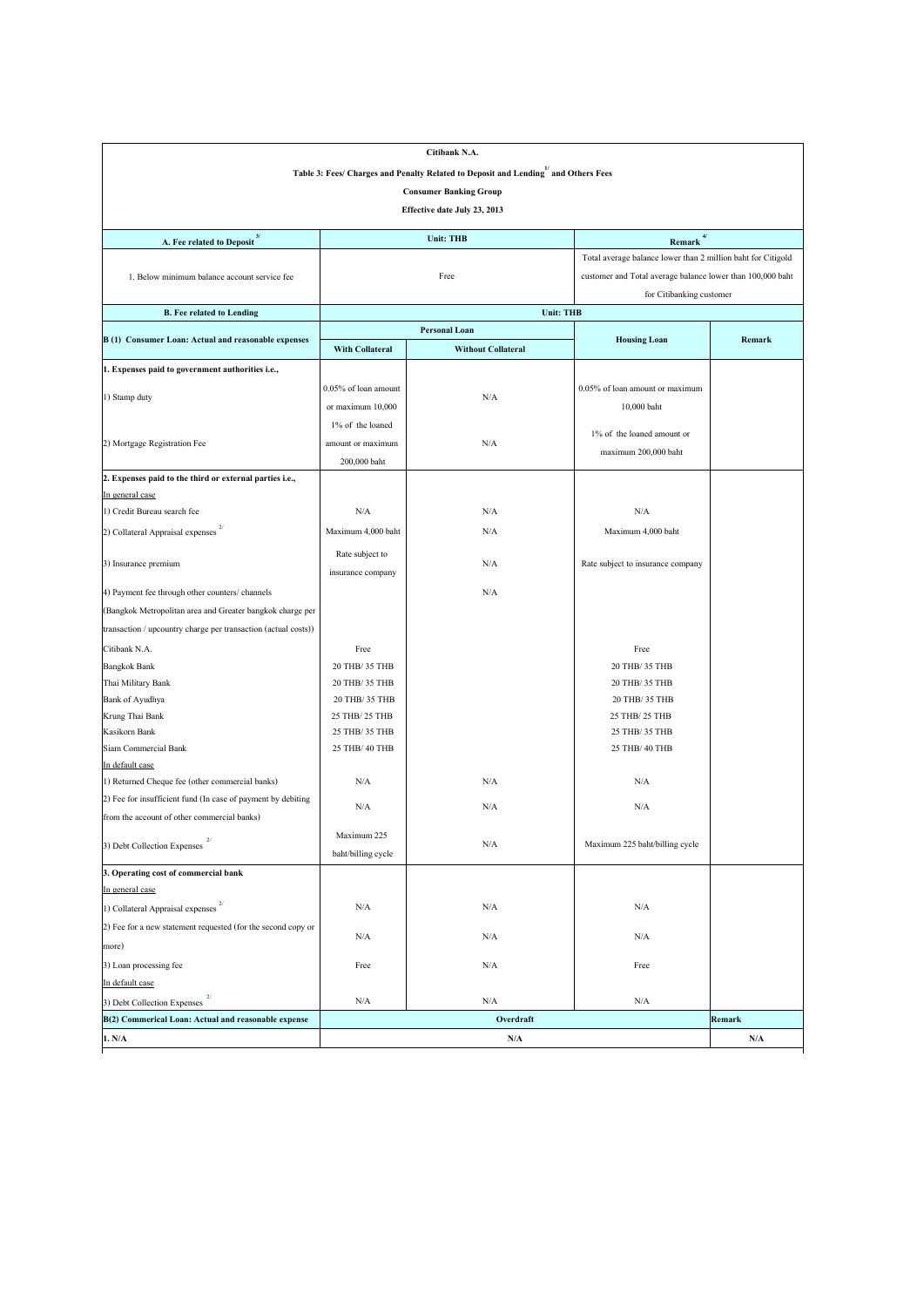|                                                                    |                         | Citibank N.A.                                                                      |                                                              |        |  |  |  |  |
|--------------------------------------------------------------------|-------------------------|------------------------------------------------------------------------------------|--------------------------------------------------------------|--------|--|--|--|--|
|                                                                    |                         | Table 3: Fees/ Charges and Penalty Related to Deposit and Lending" and Others Fees |                                                              |        |  |  |  |  |
| <b>Consumer Banking Group</b>                                      |                         |                                                                                    |                                                              |        |  |  |  |  |
| Effective date July 23, 2013                                       |                         |                                                                                    |                                                              |        |  |  |  |  |
|                                                                    |                         |                                                                                    |                                                              |        |  |  |  |  |
| A. Fee related to Deposit <sup>3/</sup>                            |                         | <b>Unit: THB</b>                                                                   | $Remark$ <sup>4/</sup>                                       |        |  |  |  |  |
|                                                                    |                         |                                                                                    | Total average balance lower than 2 million baht for Citigold |        |  |  |  |  |
| 1. Below minimum balance account service fee                       |                         | Free                                                                               | customer and Total average balance lower than 100,000 baht   |        |  |  |  |  |
|                                                                    |                         |                                                                                    | for Citibanking customer                                     |        |  |  |  |  |
| <b>B. Fee related to Lending</b>                                   |                         | <b>Unit: THB</b>                                                                   |                                                              |        |  |  |  |  |
| B (1) Consumer Loan: Actual and reasonable expenses                |                         | <b>Personal Loan</b>                                                               | <b>Housing Loan</b>                                          | Remark |  |  |  |  |
|                                                                    | <b>With Collateral</b>  | <b>Without Collateral</b>                                                          |                                                              |        |  |  |  |  |
| 1. Expenses paid to government authorities i.e.,                   |                         |                                                                                    |                                                              |        |  |  |  |  |
|                                                                    | $0.05\%$ of loan amount |                                                                                    | 0.05% of loan amount or maximum                              |        |  |  |  |  |
| 1) Stamp duty                                                      | or maximum 10,000       | N/A                                                                                | 10,000 baht                                                  |        |  |  |  |  |
|                                                                    | 1% of the loaned        |                                                                                    |                                                              |        |  |  |  |  |
| 2) Mortgage Registration Fee                                       | amount or maximum       | N/A                                                                                | 1% of the loaned amount or                                   |        |  |  |  |  |
|                                                                    | 200,000 baht            |                                                                                    | maximum 200,000 baht                                         |        |  |  |  |  |
| 2. Expenses paid to the third or external parties i.e.,            |                         |                                                                                    |                                                              |        |  |  |  |  |
| In general case                                                    |                         |                                                                                    |                                                              |        |  |  |  |  |
| 1) Credit Bureau search fee                                        | N/A                     | N/A                                                                                | N/A                                                          |        |  |  |  |  |
| 2/<br>2) Collateral Appraisal expenses                             | Maximum 4,000 baht      | N/A                                                                                | Maximum 4,000 baht                                           |        |  |  |  |  |
|                                                                    | Rate subject to         |                                                                                    |                                                              |        |  |  |  |  |
| 3) Insurance premium                                               | insurance company       | N/A                                                                                | Rate subject to insurance company                            |        |  |  |  |  |
| 4) Payment fee through other counters/ channels                    |                         | N/A                                                                                |                                                              |        |  |  |  |  |
|                                                                    |                         |                                                                                    |                                                              |        |  |  |  |  |
| (Bangkok Metropolitan area and Greater bangkok charge per          |                         |                                                                                    |                                                              |        |  |  |  |  |
| transaction / upcountry charge per transaction (actual costs))     |                         |                                                                                    |                                                              |        |  |  |  |  |
| Citibank N.A.                                                      | Free                    |                                                                                    | Free                                                         |        |  |  |  |  |
| <b>Bangkok Bank</b>                                                | 20 THB/ 35 THB          |                                                                                    | 20 THB/ 35 THB                                               |        |  |  |  |  |
| Thai Military Bank                                                 | 20 THB/ 35 THB          |                                                                                    | 20 THB/ 35 THB                                               |        |  |  |  |  |
| Bank of Ayudhya                                                    | 20 THB/ 35 THB          |                                                                                    | 20 THB/ 35 THB                                               |        |  |  |  |  |
| Krung Thai Bank                                                    | 25 THB/ 25 THB          |                                                                                    | 25 THB/ 25 THB                                               |        |  |  |  |  |
| Kasikorn Bank                                                      | 25 THB/ 35 THB          |                                                                                    | 25 THB/ 35 THB                                               |        |  |  |  |  |
| Siam Commercial Bank                                               | 25 THB/ 40 THB          |                                                                                    | 25 THB/ 40 THB                                               |        |  |  |  |  |
| In default case<br>1) Returned Cheque fee (other commercial banks) | N/A                     | N/A                                                                                | N/A                                                          |        |  |  |  |  |
| 2) Fee for insufficient fund (In case of payment by debiting       |                         |                                                                                    |                                                              |        |  |  |  |  |
| from the account of other commercial banks)                        | N/A                     | N/A                                                                                | N/A                                                          |        |  |  |  |  |
|                                                                    |                         |                                                                                    |                                                              |        |  |  |  |  |
| 3) Debt Collection Expenses                                        | Maximum 225             | N/A                                                                                | Maximum 225 baht/billing cycle                               |        |  |  |  |  |
|                                                                    | baht/billing cycle      |                                                                                    |                                                              |        |  |  |  |  |
| 3. Operating cost of commercial bank<br>In general case            |                         |                                                                                    |                                                              |        |  |  |  |  |
|                                                                    |                         |                                                                                    |                                                              |        |  |  |  |  |
| 1) Collateral Appraisal expenses                                   | N/A                     | N/A                                                                                | N/A                                                          |        |  |  |  |  |
| (2) Fee for a new statement requested (for the second copy or      | N/A                     | N/A                                                                                | N/A                                                          |        |  |  |  |  |
| more)                                                              |                         |                                                                                    |                                                              |        |  |  |  |  |
| 3) Loan processing fee                                             | Free                    | N/A                                                                                | Free                                                         |        |  |  |  |  |
| In default case                                                    |                         |                                                                                    |                                                              |        |  |  |  |  |
| 3) Debt Collection Expenses                                        | N/A                     | N/A                                                                                | N/A                                                          |        |  |  |  |  |
| B(2) Commerical Loan: Actual and reasonable expense                |                         | Overdraft                                                                          |                                                              | Remark |  |  |  |  |
| 1. N/A                                                             |                         | N/A                                                                                |                                                              | N/A    |  |  |  |  |